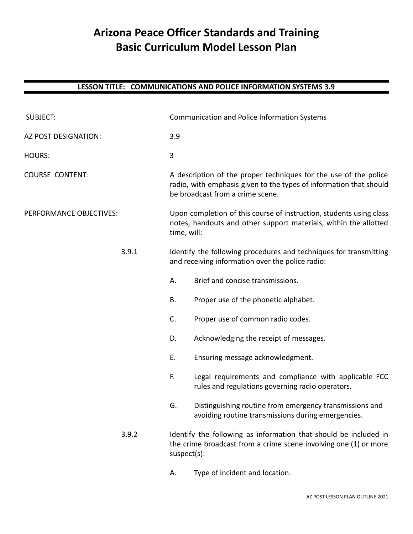# **Arizona Peace Officer Standards and Training Basic Curriculum Model Lesson Plan**

| <b>SUBJECT:</b>         |       | Communication and Police Information Systems                                                                                                           |                                                                                                                                                                            |  |  |
|-------------------------|-------|--------------------------------------------------------------------------------------------------------------------------------------------------------|----------------------------------------------------------------------------------------------------------------------------------------------------------------------------|--|--|
| AZ POST DESIGNATION:    |       | 3.9                                                                                                                                                    |                                                                                                                                                                            |  |  |
| <b>HOURS:</b>           |       | 3                                                                                                                                                      |                                                                                                                                                                            |  |  |
| <b>COURSE CONTENT:</b>  |       |                                                                                                                                                        | A description of the proper techniques for the use of the police<br>radio, with emphasis given to the types of information that should<br>be broadcast from a crime scene. |  |  |
| PERFORMANCE OBJECTIVES: |       | Upon completion of this course of instruction, students using class<br>notes, handouts and other support materials, within the allotted<br>time, will: |                                                                                                                                                                            |  |  |
|                         | 3.9.1 | Identify the following procedures and techniques for transmitting<br>and receiving information over the police radio:                                  |                                                                                                                                                                            |  |  |
|                         |       | А.                                                                                                                                                     | Brief and concise transmissions.                                                                                                                                           |  |  |
|                         |       | В.                                                                                                                                                     | Proper use of the phonetic alphabet.                                                                                                                                       |  |  |
|                         |       | C.                                                                                                                                                     | Proper use of common radio codes.                                                                                                                                          |  |  |
|                         |       | D.                                                                                                                                                     | Acknowledging the receipt of messages.                                                                                                                                     |  |  |
|                         |       | Ε.                                                                                                                                                     | Ensuring message acknowledgment.                                                                                                                                           |  |  |
|                         |       | F.                                                                                                                                                     | Legal requirements and compliance with applicable FCC<br>rules and regulations governing radio operators.                                                                  |  |  |
|                         |       | G.                                                                                                                                                     | Distinguishing routine from emergency transmissions and<br>avoiding routine transmissions during emergencies.                                                              |  |  |
|                         | 3.9.2 | $suspect(s)$ :                                                                                                                                         | Identify the following as information that should be included in<br>the crime broadcast from a crime scene involving one (1) or more                                       |  |  |
|                         |       | А.                                                                                                                                                     | Type of incident and location.                                                                                                                                             |  |  |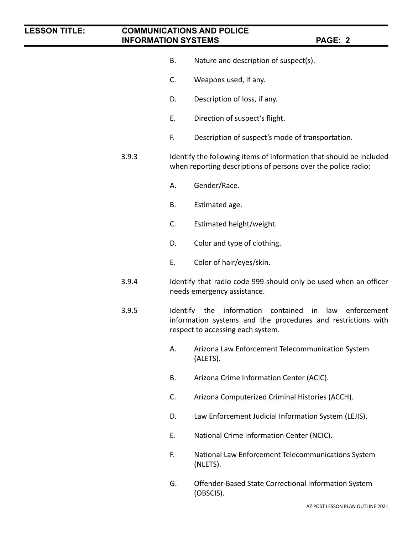- B. Nature and description of suspect(s).
- C. Weapons used, if any.
- D. Description of loss, if any.
- E. Direction of suspect's flight.
- F. Description of suspect's mode of transportation.
- 3.9.3 Identify the following items of information that should be included when reporting descriptions of persons over the police radio:
	- A. Gender/Race.
	- B. Estimated age.
	- C. Estimated height/weight.
	- D. Color and type of clothing.
	- E. Color of hair/eyes/skin.
- 3.9.4 Identify that radio code 999 should only be used when an officer needs emergency assistance.
- 3.9.5 Identify the information contained in law enforcement information systems and the procedures and restrictions with respect to accessing each system.
	- A. Arizona Law Enforcement Telecommunication System (ALETS).
	- B. Arizona Crime Information Center (ACIC).
	- C. Arizona Computerized Criminal Histories (ACCH).
	- D. Law Enforcement Judicial Information System (LEJIS).
	- E. National Crime Information Center (NCIC).
	- F. National Law Enforcement Telecommunications System (NLETS).
	- G. Offender-Based State Correctional Information System (OBSCIS).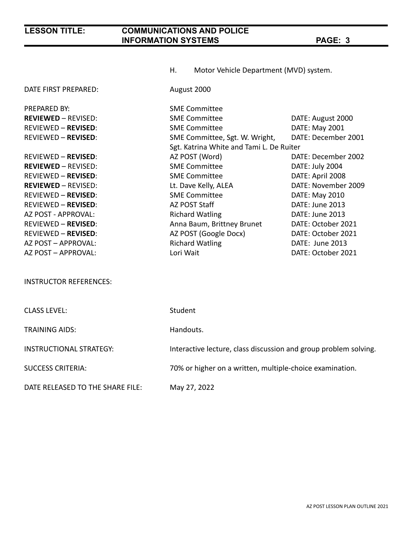|                                  | Motor Vehicle Department (MVD) system.<br>Н.                     |                     |  |
|----------------------------------|------------------------------------------------------------------|---------------------|--|
| DATE FIRST PREPARED:             | August 2000                                                      |                     |  |
| <b>PREPARED BY:</b>              | <b>SME Committee</b>                                             |                     |  |
| <b>REVIEWED - REVISED:</b>       | <b>SME Committee</b>                                             | DATE: August 2000   |  |
| <b>REVIEWED - REVISED:</b>       | <b>SME Committee</b>                                             | DATE: May 2001      |  |
| <b>REVIEWED - REVISED:</b>       | SME Committee, Sgt. W. Wright,                                   | DATE: December 2001 |  |
|                                  | Sgt. Katrina White and Tami L. De Ruiter                         |                     |  |
| <b>REVIEWED - REVISED:</b>       | AZ POST (Word)                                                   | DATE: December 2002 |  |
| <b>REVIEWED - REVISED:</b>       | <b>SME Committee</b>                                             | DATE: July 2004     |  |
| <b>REVIEWED - REVISED:</b>       | <b>SME Committee</b>                                             | DATE: April 2008    |  |
| <b>REVIEWED - REVISED:</b>       | Lt. Dave Kelly, ALEA                                             | DATE: November 2009 |  |
| <b>REVIEWED - REVISED:</b>       | <b>SME Committee</b>                                             | DATE: May 2010      |  |
| <b>REVIEWED - REVISED:</b>       | AZ POST Staff                                                    | DATE: June 2013     |  |
| AZ POST - APPROVAL:              | <b>Richard Watling</b>                                           | DATE: June 2013     |  |
| <b>REVIEWED - REVISED:</b>       | Anna Baum, Brittney Brunet                                       | DATE: October 2021  |  |
| <b>REVIEWED - REVISED:</b>       | AZ POST (Google Docx)                                            | DATE: October 2021  |  |
| AZ POST - APPROVAL:              | <b>Richard Watling</b>                                           | DATE: June 2013     |  |
| AZ POST - APPROVAL:              | Lori Wait                                                        | DATE: October 2021  |  |
|                                  |                                                                  |                     |  |
| <b>INSTRUCTOR REFERENCES:</b>    |                                                                  |                     |  |
|                                  |                                                                  |                     |  |
| <b>CLASS LEVEL:</b>              | Student                                                          |                     |  |
| <b>TRAINING AIDS:</b>            | Handouts.                                                        |                     |  |
| <b>INSTRUCTIONAL STRATEGY:</b>   | Interactive lecture, class discussion and group problem solving. |                     |  |
| <b>SUCCESS CRITERIA:</b>         | 70% or higher on a written, multiple-choice examination.         |                     |  |
| DATE RELEASED TO THE SHARE FILE: | May 27, 2022                                                     |                     |  |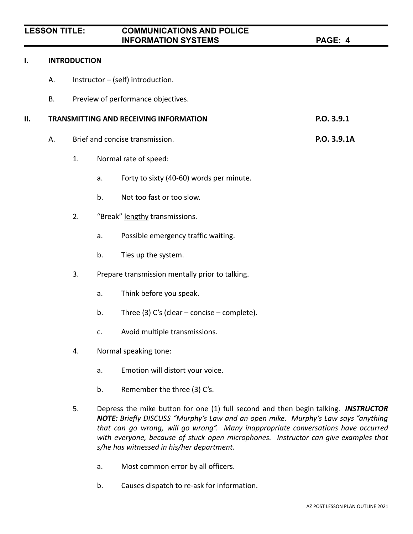#### **I. INTRODUCTION**

- A. Instructor (self) introduction.
- B. Preview of performance objectives.

### **II. TRANSMITTING AND RECEIVING INFORMATION P.O. 3.9.1**

- A. Brief and concise transmission. **P.O. 3.9.1A**
	- 1. Normal rate of speed:
		- a. Forty to sixty (40-60) words per minute.
		- b. Not too fast or too slow.
	- 2. "Break" lengthy transmissions.
		- a. Possible emergency traffic waiting.
		- b. Ties up the system.
	- 3. Prepare transmission mentally prior to talking.
		- a. Think before you speak.
		- b. Three (3) C's (clear concise complete).
		- c. Avoid multiple transmissions.
	- 4. Normal speaking tone:
		- a. Emotion will distort your voice.
		- b. Remember the three (3) C's.
	- 5. Depress the mike button for one (1) full second and then begin talking. *INSTRUCTOR NOTE: Briefly DISCUSS "Murphy's Law and an open mike. Murphy's Law says "anything that can go wrong, will go wrong". Many inappropriate conversations have occurred with everyone, because of stuck open microphones. Instructor can give examples that s/he has witnessed in his/her department.*
		- a. Most common error by all officers.
		- b. Causes dispatch to re-ask for information.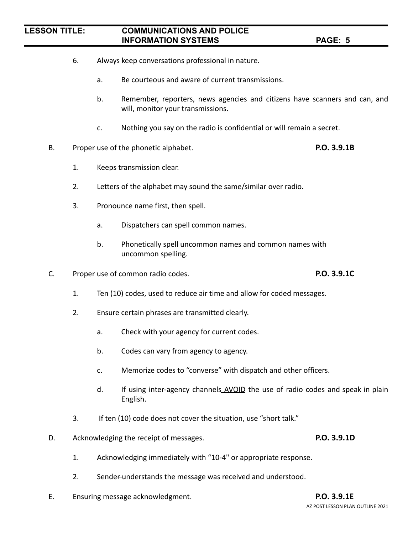- 6. Always keep conversations professional in nature.
	- a. Be courteous and aware of current transmissions.
	- b. Remember, reporters, news agencies and citizens have scanners and can, and will, monitor your transmissions.
	- c. Nothing you say on the radio is confidential or will remain a secret.
- B. Proper use of the phonetic alphabet. **P.O. 3.9.1B**
	- 1. Keeps transmission clear.
	- 2. Letters of the alphabet may sound the same/similar over radio.
	- 3. Pronounce name first, then spell.
		- a. Dispatchers can spell common names.
		- b. Phonetically spell uncommon names and common names with uncommon spelling.
- C. Proper use of common radio codes. **P.O. 3.9.1C**
	- 1. Ten (10) codes, used to reduce air time and allow for coded messages.
	- 2. Ensure certain phrases are transmitted clearly.
		- a. Check with your agency for current codes.
		- b. Codes can vary from agency to agency.
		- c. Memorize codes to "converse" with dispatch and other officers.
		- d. If using inter-agency channels AVOID the use of radio codes and speak in plain English.
	- 3. If ten (10) code does not cover the situation, use "short talk."
- D. Acknowledging the receipt of messages. **P.O. 3.9.1D**

- 1. Acknowledging immediately with "10-4" or appropriate response.
- 2. Sender understands the message was received and understood.
- E. Ensuring message acknowledgment. **P.O. 3.9.1E**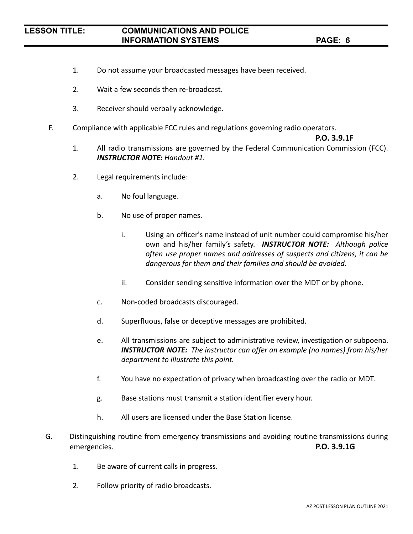- 1. Do not assume your broadcasted messages have been received.
- 2. Wait a few seconds then re-broadcast.
- 3. Receiver should verbally acknowledge.
- F. Compliance with applicable FCC rules and regulations governing radio operators.

#### **P.O. 3.9.1F**

- 1. All radio transmissions are governed by the Federal Communication Commission (FCC). *INSTRUCTOR NOTE: Handout #1.*
- 2. Legal requirements include:
	- a. No foul language.
	- b. No use of proper names.
		- i. Using an officer's name instead of unit number could compromise his/her own and his/her family's safety. *INSTRUCTOR NOTE: Although police often use proper names and addresses of suspects and citizens, it can be dangerous for them and their families and should be avoided.*
		- ii. Consider sending sensitive information over the MDT or by phone.
	- c. Non-coded broadcasts discouraged.
	- d. Superfluous, false or deceptive messages are prohibited.
	- e. All transmissions are subject to administrative review, investigation or subpoena. *INSTRUCTOR NOTE: The instructor can offer an example (no names) from his/her department to illustrate this point.*
	- f. You have no expectation of privacy when broadcasting over the radio or MDT.
	- g. Base stations must transmit a station identifier every hour.
	- h. All users are licensed under the Base Station license.
- G. Distinguishing routine from emergency transmissions and avoiding routine transmissions during emergencies. **P.O. 3.9.1G**
	- 1. Be aware of current calls in progress.
	- 2. Follow priority of radio broadcasts.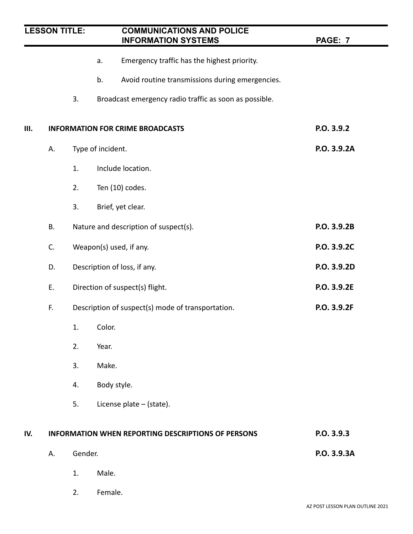| <b>LESSON TITLE:</b> |    |         | <b>COMMUNICATIONS AND POLICE</b><br><b>INFORMATION SYSTEMS</b> | <b>PAGE: 7</b> |  |
|----------------------|----|---------|----------------------------------------------------------------|----------------|--|
|                      |    |         | Emergency traffic has the highest priority.<br>a.              |                |  |
|                      |    |         | Avoid routine transmissions during emergencies.<br>b.          |                |  |
|                      |    | 3.      | Broadcast emergency radio traffic as soon as possible.         |                |  |
| Ш.                   |    |         | <b>INFORMATION FOR CRIME BROADCASTS</b>                        | P.O. 3.9.2     |  |
|                      | А. |         | Type of incident.                                              | P.O. 3.9.2A    |  |
|                      |    | 1.      | Include location.                                              |                |  |
|                      |    | 2.      | Ten (10) codes.                                                |                |  |
|                      |    | 3.      | Brief, yet clear.                                              |                |  |
|                      | В. |         | Nature and description of suspect(s).                          | P.O. 3.9.2B    |  |
|                      | C. |         | Weapon(s) used, if any.                                        | P.O. 3.9.2C    |  |
|                      | D. |         | Description of loss, if any.                                   | P.O. 3.9.2D    |  |
|                      | Ε. |         | Direction of suspect(s) flight.                                | P.O. 3.9.2E    |  |
|                      | F. |         | Description of suspect(s) mode of transportation.              | P.O. 3.9.2F    |  |
|                      |    | 1.      | Color.                                                         |                |  |
|                      |    | 2.      | Year.                                                          |                |  |
|                      |    | 3.      | Make.                                                          |                |  |
|                      |    | 4.      | Body style.                                                    |                |  |
|                      |    | 5.      | License plate - (state).                                       |                |  |
| IV.                  |    |         | <b>INFORMATION WHEN REPORTING DESCRIPTIONS OF PERSONS</b>      | P.O. 3.9.3     |  |
|                      | А. | Gender. |                                                                | P.O. 3.9.3A    |  |
|                      |    | 1.      | Male.                                                          |                |  |
|                      |    | 2.      | Female.                                                        |                |  |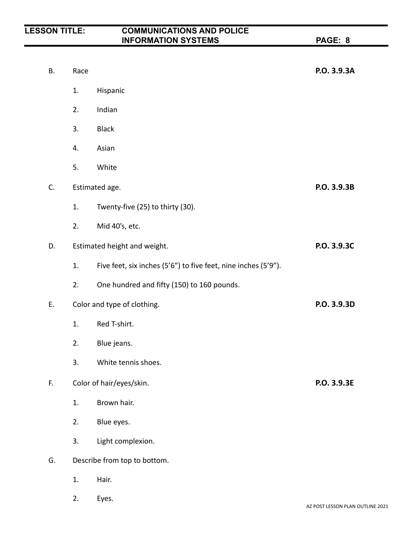| В. | Race                         |                                                                | P.O. 3.9.3A |
|----|------------------------------|----------------------------------------------------------------|-------------|
|    | 1.                           | Hispanic                                                       |             |
|    | 2.                           | Indian                                                         |             |
|    | 3.                           | <b>Black</b>                                                   |             |
|    | 4.                           | Asian                                                          |             |
|    | 5.                           | White                                                          |             |
| C. |                              | Estimated age.                                                 | P.O. 3.9.3B |
|    | 1.                           | Twenty-five (25) to thirty (30).                               |             |
|    | 2.                           | Mid 40's, etc.                                                 |             |
| D. | Estimated height and weight. |                                                                | P.O. 3.9.3C |
|    | 1.                           | Five feet, six inches (5'6") to five feet, nine inches (5'9"). |             |
|    | 2.                           | One hundred and fifty (150) to 160 pounds.                     |             |
| Ε. |                              | Color and type of clothing.                                    | P.O. 3.9.3D |
|    | 1.                           | Red T-shirt.                                                   |             |
|    | 2.                           | Blue jeans.                                                    |             |
|    | 3.                           | White tennis shoes.                                            |             |
| F. | Color of hair/eyes/skin.     |                                                                | P.O. 3.9.3E |
|    | 1.                           | Brown hair.                                                    |             |
|    | 2.                           | Blue eyes.                                                     |             |
|    | 3.                           | Light complexion.                                              |             |
| G. |                              | Describe from top to bottom.                                   |             |
|    | 1.                           | Hair.                                                          |             |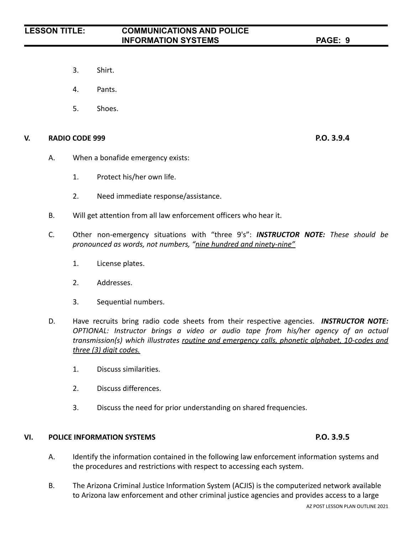- 3. Shirt.
- 4. Pants.
- 5. Shoes.

#### **V. RADIO CODE 999 P.O. 3.9.4**

- A. When a bonafide emergency exists:
	- 1. Protect his/her own life.
	- 2. Need immediate response/assistance.
- B. Will get attention from all law enforcement officers who hear it.
- C. Other non-emergency situations with "three 9's": *INSTRUCTOR NOTE: These should be pronounced as words, not numbers, "nine hundred and ninety-nine"*
	- 1. License plates.
	- 2. Addresses.
	- 3. Sequential numbers.
- D. Have recruits bring radio code sheets from their respective agencies. *INSTRUCTOR NOTE: OPTIONAL: Instructor brings a video or audio tape from his/her agency of an actual transmission(s) which illustrates routine and emergency calls, phonetic alphabet, 10-codes and three (3) digit codes.*
	- 1. Discuss similarities.
	- 2. Discuss differences.
	- 3. Discuss the need for prior understanding on shared frequencies.

#### **VI. POLICE INFORMATION SYSTEMS P.O. 3.9.5**

- A. Identify the information contained in the following law enforcement information systems and the procedures and restrictions with respect to accessing each system.
- B. The Arizona Criminal Justice Information System (ACJIS) is the computerized network available to Arizona law enforcement and other criminal justice agencies and provides access to a large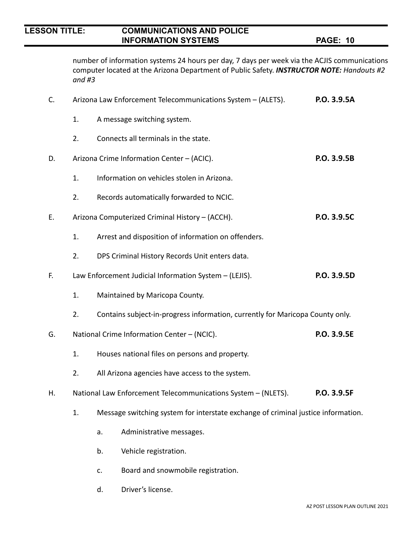number of information systems 24 hours per day, 7 days per week via the ACJIS communications computer located at the Arizona Department of Public Safety. *INSTRUCTOR NOTE: Handouts #2 and #3*

| C. | Arizona Law Enforcement Telecommunications System - (ALETS).                 | P.O. 3.9.5A                                                                   |                                                                                   |             |  |
|----|------------------------------------------------------------------------------|-------------------------------------------------------------------------------|-----------------------------------------------------------------------------------|-------------|--|
|    | 1.                                                                           |                                                                               | A message switching system.                                                       |             |  |
|    | 2.                                                                           |                                                                               | Connects all terminals in the state.                                              |             |  |
| D. | Arizona Crime Information Center - (ACIC).                                   | P.O. 3.9.5B                                                                   |                                                                                   |             |  |
|    | 1.                                                                           |                                                                               | Information on vehicles stolen in Arizona.                                        |             |  |
|    | 2.                                                                           |                                                                               | Records automatically forwarded to NCIC.                                          |             |  |
| Ε. |                                                                              |                                                                               | Arizona Computerized Criminal History - (ACCH).                                   | P.O. 3.9.5C |  |
|    | 1.                                                                           |                                                                               | Arrest and disposition of information on offenders.                               |             |  |
|    | 2.                                                                           |                                                                               | DPS Criminal History Records Unit enters data.                                    |             |  |
| F. | P.O. 3.9.5D<br>Law Enforcement Judicial Information System - (LEJIS).        |                                                                               |                                                                                   |             |  |
|    | 1.                                                                           |                                                                               | Maintained by Maricopa County.                                                    |             |  |
|    | 2.                                                                           | Contains subject-in-progress information, currently for Maricopa County only. |                                                                                   |             |  |
| G. | P.O. 3.9.5E<br>National Crime Information Center - (NCIC).                   |                                                                               |                                                                                   |             |  |
|    | 1.                                                                           | Houses national files on persons and property.                                |                                                                                   |             |  |
|    | 2.                                                                           | All Arizona agencies have access to the system.                               |                                                                                   |             |  |
| Н. | National Law Enforcement Telecommunications System - (NLETS).<br>P.O. 3.9.5F |                                                                               |                                                                                   |             |  |
|    | 1.                                                                           |                                                                               | Message switching system for interstate exchange of criminal justice information. |             |  |
|    |                                                                              | a.                                                                            | Administrative messages.                                                          |             |  |
|    |                                                                              | b.                                                                            | Vehicle registration.                                                             |             |  |
|    |                                                                              | c.                                                                            | Board and snowmobile registration.                                                |             |  |

d. Driver's license.